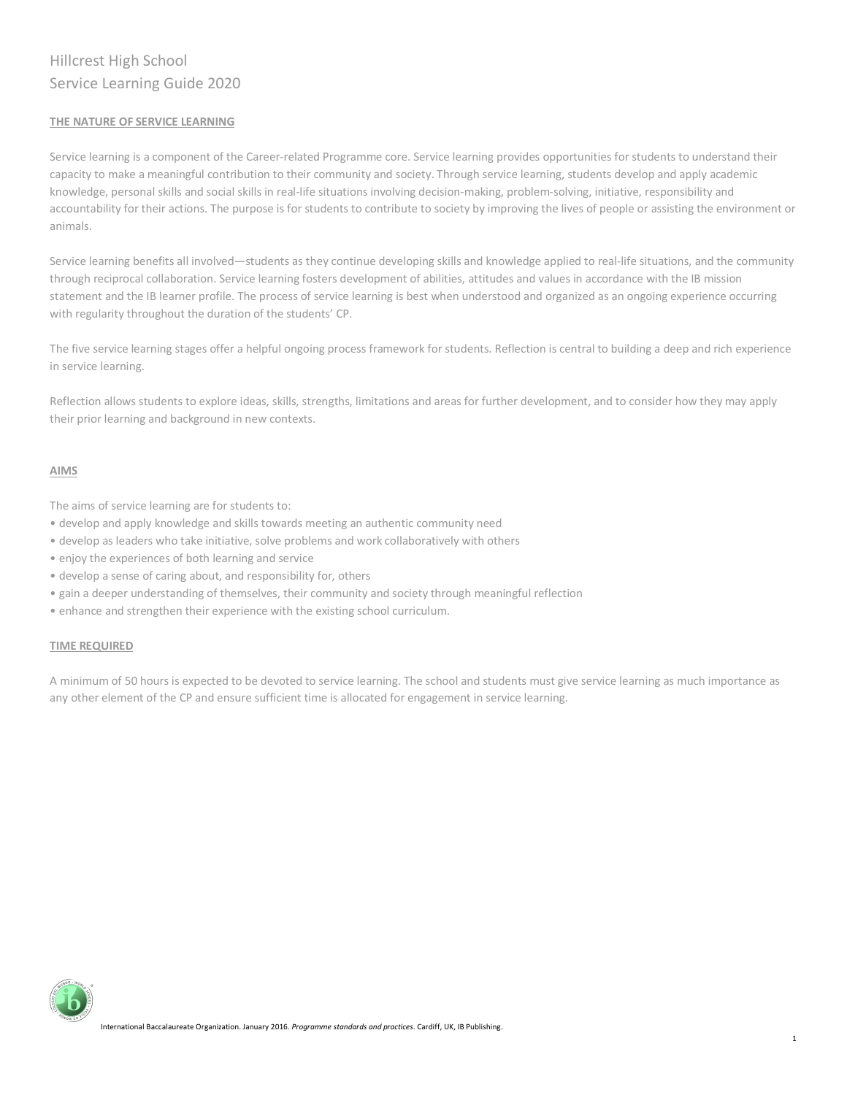# Hillcrest High School Service Learning Guide 2020

# **THE NATURE OF SERVICE LEARNING**

Service learning is a component of the Career-related Programme core. Service learning provides opportunities for students to understand their capacity to make a meaningful contribution to their community and society. Through service learning, students develop and apply academic knowledge, personal skills and social skills in real-life situations involving decision-making, problem-solving, initiative, responsibility and accountability for their actions. The purpose is for students to contribute to society by improving the lives of people or assisting the environment or animals.

Service learning benefits all involved—students as they continue developing skills and knowledge applied to real-life situations, and the community through reciprocal collaboration. Service learning fosters development of abilities, attitudes and values in accordance with the IB mission statement and the IB learner profile. The process of service learning is best when understood and organized as an ongoing experience occurring with regularity throughout the duration of the students' CP.

The five service learning stages offer a helpful ongoing process framework for students. Reflection is central to building a deep and rich experience in service learning.

Reflection allows students to explore ideas, skills, strengths, limitations and areas for further development, and to consider how they may apply their prior learning and background in new contexts.

# **AIMS**

The aims of service learning are for students to:

- develop and apply knowledge and skills towards meeting an authentic community need
- develop as leaders who take initiative, solve problems and work collaboratively with others
- enjoy the experiences of both learning and service
- develop a sense of caring about, and responsibility for, others
- gain a deeper understanding of themselves, their community and society through meaningful reflection
- enhance and strengthen their experience with the existing school curriculum.

# **TIME REQUIRED**

A minimum of 50 hours is expected to be devoted to service learning. The school and students must give service learning as much importance as any other element of the CP and ensure sufficient time is allocated for engagement in service learning.

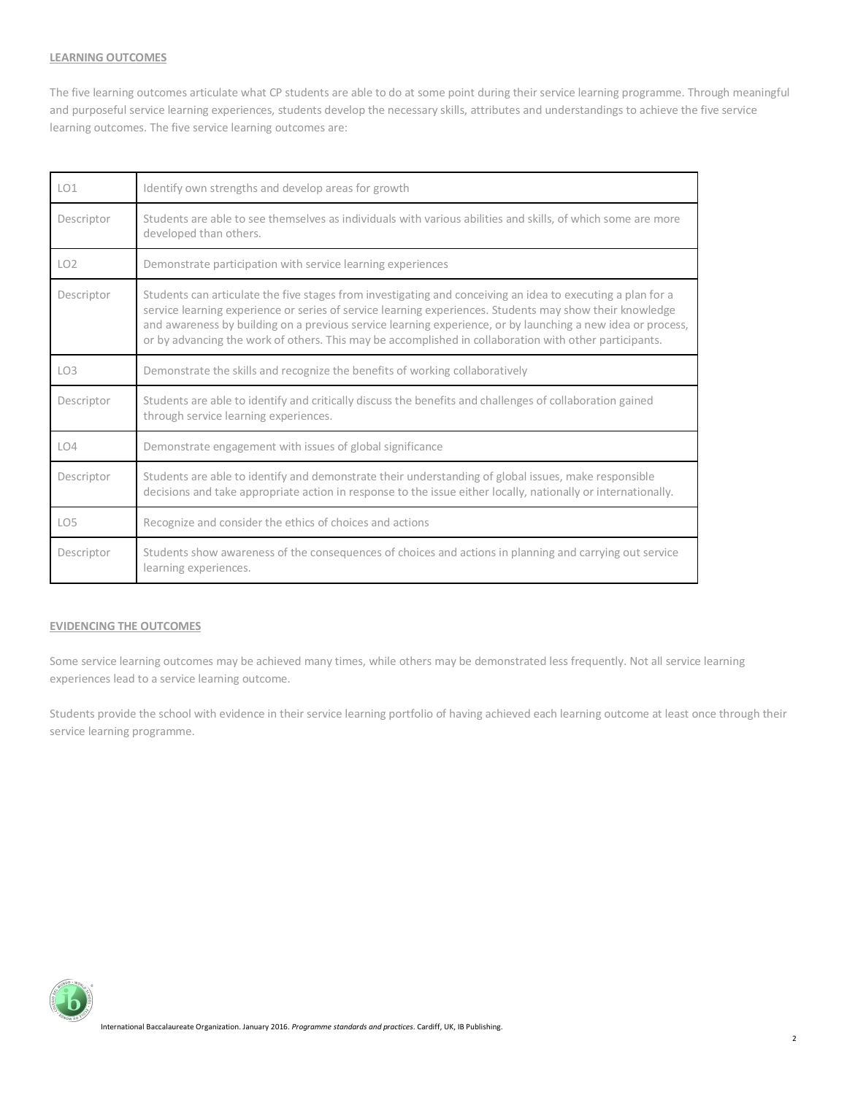## **LEARNING OUTCOMES**

The five learning outcomes articulate what CP students are able to do at some point during their service learning programme. Through meaningful and purposeful service learning experiences, students develop the necessary skills, attributes and understandings to achieve the five service learning outcomes. The five service learning outcomes are:

| LO <sub>1</sub> | Identify own strengths and develop areas for growth                                                                                                                                                                                                                                                                                                                                                                                              |
|-----------------|--------------------------------------------------------------------------------------------------------------------------------------------------------------------------------------------------------------------------------------------------------------------------------------------------------------------------------------------------------------------------------------------------------------------------------------------------|
| Descriptor      | Students are able to see themselves as individuals with various abilities and skills, of which some are more<br>developed than others.                                                                                                                                                                                                                                                                                                           |
| LO <sub>2</sub> | Demonstrate participation with service learning experiences                                                                                                                                                                                                                                                                                                                                                                                      |
| Descriptor      | Students can articulate the five stages from investigating and conceiving an idea to executing a plan for a<br>service learning experience or series of service learning experiences. Students may show their knowledge<br>and awareness by building on a previous service learning experience, or by launching a new idea or process,<br>or by advancing the work of others. This may be accomplished in collaboration with other participants. |
| LO <sub>3</sub> | Demonstrate the skills and recognize the benefits of working collaboratively                                                                                                                                                                                                                                                                                                                                                                     |
| Descriptor      | Students are able to identify and critically discuss the benefits and challenges of collaboration gained<br>through service learning experiences.                                                                                                                                                                                                                                                                                                |
| LO4             | Demonstrate engagement with issues of global significance                                                                                                                                                                                                                                                                                                                                                                                        |
| Descriptor      | Students are able to identify and demonstrate their understanding of global issues, make responsible<br>decisions and take appropriate action in response to the issue either locally, nationally or internationally.                                                                                                                                                                                                                            |
| LO <sub>5</sub> | Recognize and consider the ethics of choices and actions                                                                                                                                                                                                                                                                                                                                                                                         |
| Descriptor      | Students show awareness of the consequences of choices and actions in planning and carrying out service<br>learning experiences.                                                                                                                                                                                                                                                                                                                 |

# **EVIDENCING THE OUTCOMES**

Some service learning outcomes may be achieved many times, while others may be demonstrated less frequently. Not all service learning experiences lead to a service learning outcome.

Students provide the school with evidence in their service learning portfolio of having achieved each learning outcome at least once through their service learning programme.

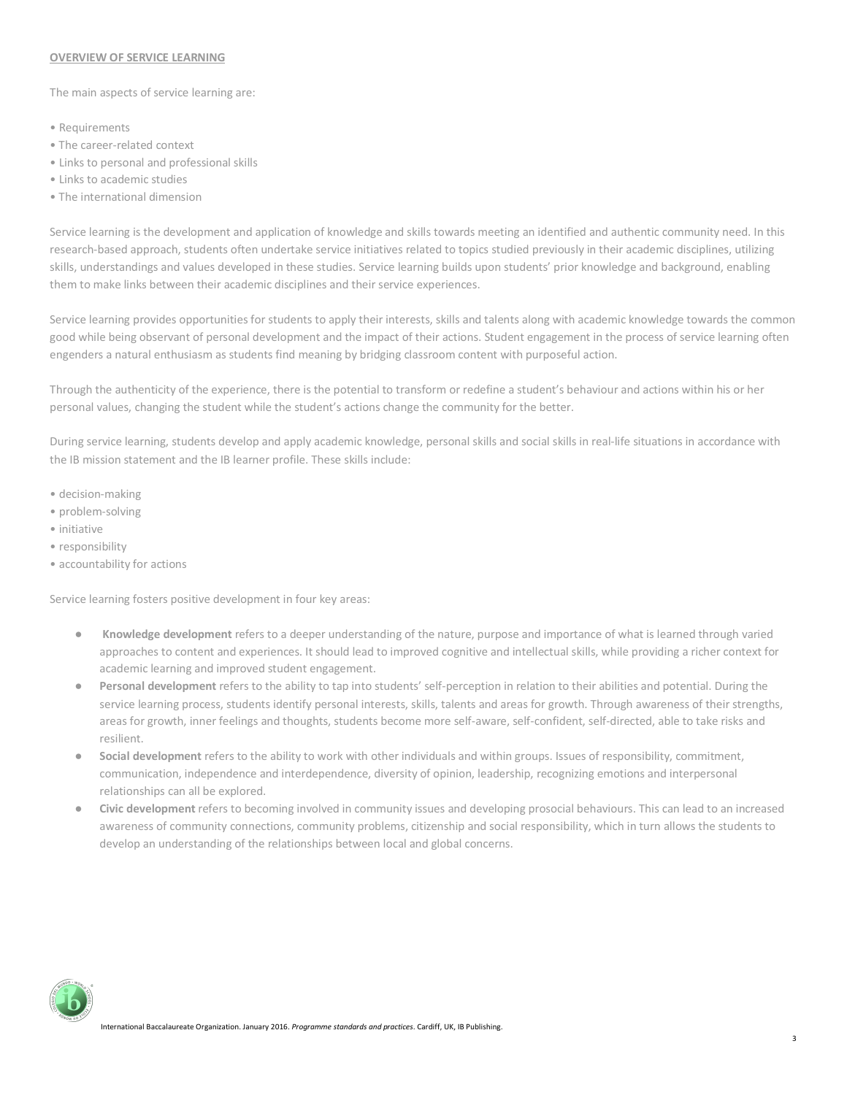#### **OVERVIEW OF SERVICE LEARNING**

The main aspects of service learning are:

- Requirements
- The career-related context
- Links to personal and professional skills
- Links to academic studies
- The international dimension

Service learning is the development and application of knowledge and skills towards meeting an identified and authentic community need. In this research-based approach, students often undertake service initiatives related to topics studied previously in their academic disciplines, utilizing skills, understandings and values developed in these studies. Service learning builds upon students' prior knowledge and background, enabling them to make links between their academic disciplines and their service experiences.

Service learning provides opportunities for students to apply their interests, skills and talents along with academic knowledge towards the common good while being observant of personal development and the impact of their actions. Student engagement in the process of service learning often engenders a natural enthusiasm as students find meaning by bridging classroom content with purposeful action.

Through the authenticity of the experience, there is the potential to transform or redefine a student's behaviour and actions within his or her personal values, changing the student while the student's actions change the community for the better.

During service learning, students develop and apply academic knowledge, personal skills and social skills in real-life situations in accordance with the IB mission statement and the IB learner profile. These skills include:

- decision-making
- problem-solving
- initiative
- responsibility
- accountability for actions

Service learning fosters positive development in four key areas:

- **Knowledge development** refers to a deeper understanding of the nature, purpose and importance of what is learned through varied approaches to content and experiences. It should lead to improved cognitive and intellectual skills, while providing a richer context for academic learning and improved student engagement.
- Personal development refers to the ability to tap into students' self-perception in relation to their abilities and potential. During the service learning process, students identify personal interests, skills, talents and areas for growth. Through awareness of their strengths, areas for growth, inner feelings and thoughts, students become more self-aware, self-confident, self-directed, able to take risks and resilient.
- **Social development** refers to the ability to work with other individuals and within groups. Issues of responsibility, commitment, communication, independence and interdependence, diversity of opinion, leadership, recognizing emotions and interpersonal relationships can all be explored.
- **Civic development** refers to becoming involved in community issues and developing prosocial behaviours. This can lead to an increased awareness of community connections, community problems, citizenship and social responsibility, which in turn allows the students to develop an understanding of the relationships between local and global concerns.

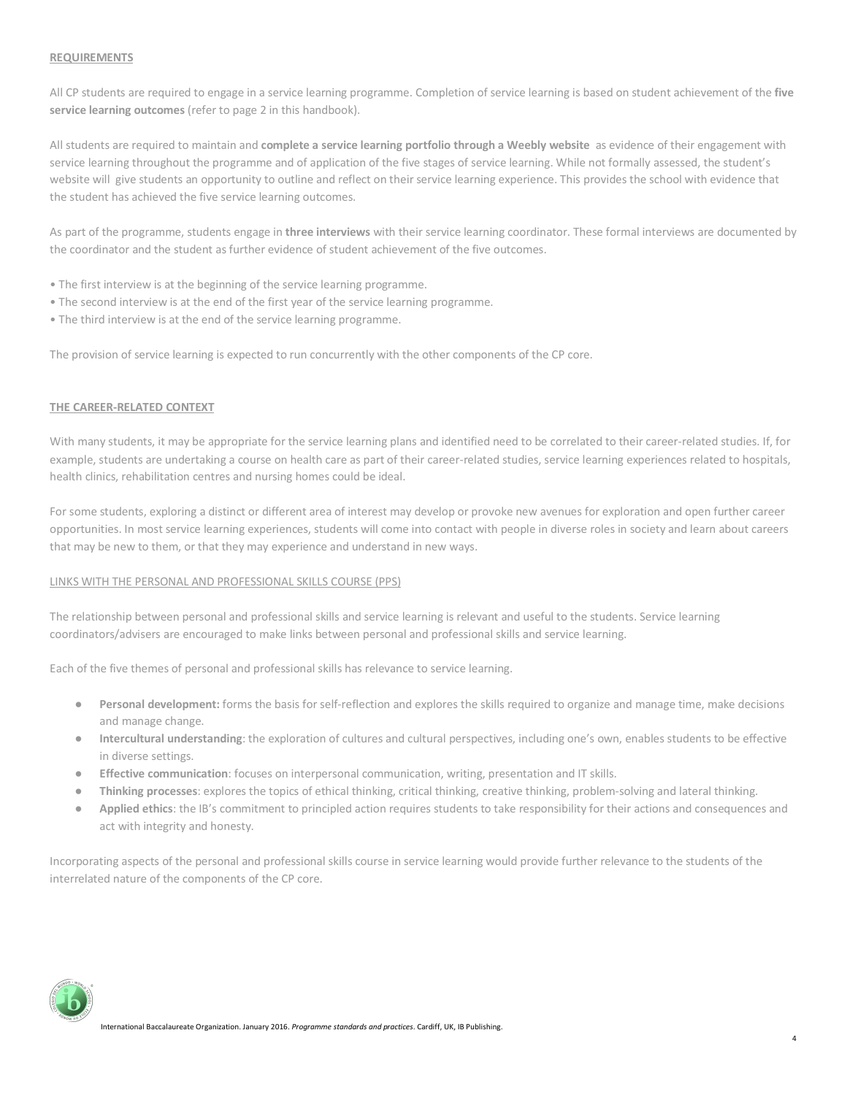## **REQUIREMENTS**

All CP students are required to engage in a service learning programme. Completion of service learning is based on student achievement of the **five service learning outcomes** (refer to page 2 in this handbook).

All students are required to maintain and **complete a service learning portfolio through a Weebly website** as evidence of their engagement with service learning throughout the programme and of application of the five stages of service learning. While not formally assessed, the student's website will give students an opportunity to outline and reflect on their service learning experience. This provides the school with evidence that the student has achieved the five service learning outcomes.

As part of the programme, students engage in **three interviews** with their service learning coordinator. These formal interviews are documented by the coordinator and the student as further evidence of student achievement of the five outcomes.

- The first interview is at the beginning of the service learning programme.
- The second interview is at the end of the first year of the service learning programme.
- The third interview is at the end of the service learning programme.

The provision of service learning is expected to run concurrently with the other components of the CP core.

#### **THE CAREER-RELATED CONTEXT**

With many students, it may be appropriate for the service learning plans and identified need to be correlated to their career-related studies. If, for example, students are undertaking a course on health care as part of their career-related studies, service learning experiences related to hospitals, health clinics, rehabilitation centres and nursing homes could be ideal.

For some students, exploring a distinct or different area of interest may develop or provoke new avenues for exploration and open further career opportunities. In most service learning experiences, students will come into contact with people in diverse roles in society and learn about careers that may be new to them, or that they may experience and understand in new ways.

#### LINKS WITH THE PERSONAL AND PROFESSIONAL SKILLS COURSE (PPS)

The relationship between personal and professional skills and service learning is relevant and useful to the students. Service learning coordinators/advisers are encouraged to make links between personal and professional skills and service learning.

Each of the five themes of personal and professional skills has relevance to service learning.

- Personal development: forms the basis for self-reflection and explores the skills required to organize and manage time, make decisions and manage change.
- **Intercultural understanding**: the exploration of cultures and cultural perspectives, including one's own, enables students to be effective in diverse settings.
- **Effective communication**: focuses on interpersonal communication, writing, presentation and IT skills.
- Thinking processes: explores the topics of ethical thinking, critical thinking, creative thinking, problem-solving and lateral thinking.
- **Applied ethics**: the IB's commitment to principled action requires students to take responsibility for their actions and consequences and act with integrity and honesty.

Incorporating aspects of the personal and professional skills course in service learning would provide further relevance to the students of the interrelated nature of the components of the CP core.

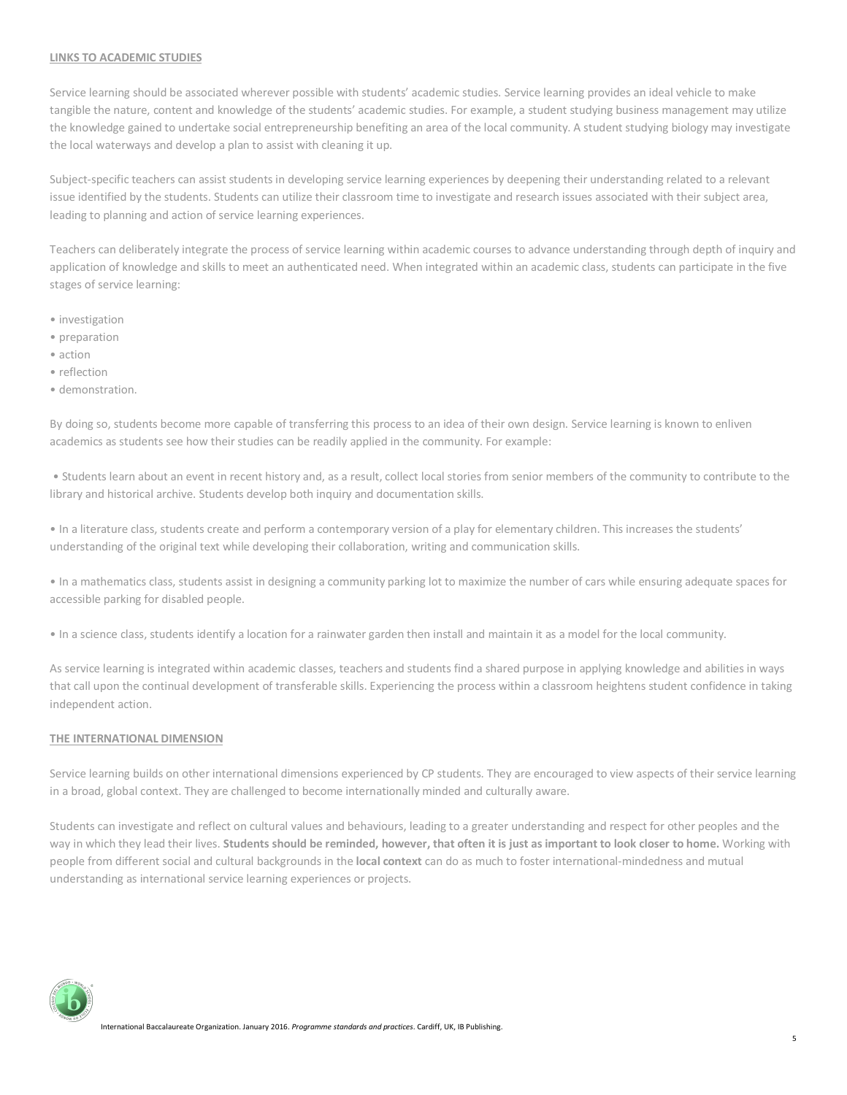## **LINKS TO ACADEMIC STUDIES**

Service learning should be associated wherever possible with students' academic studies. Service learning provides an ideal vehicle to make tangible the nature, content and knowledge of the students' academic studies. For example, a student studying business management may utilize the knowledge gained to undertake social entrepreneurship benefiting an area of the local community. A student studying biology may investigate the local waterways and develop a plan to assist with cleaning it up.

Subject-specific teachers can assist students in developing service learning experiences by deepening their understanding related to a relevant issue identified by the students. Students can utilize their classroom time to investigate and research issues associated with their subject area, leading to planning and action of service learning experiences.

Teachers can deliberately integrate the process of service learning within academic courses to advance understanding through depth of inquiry and application of knowledge and skills to meet an authenticated need. When integrated within an academic class, students can participate in the five stages of service learning:

- investigation
- preparation
- action
- reflection
- demonstration.

By doing so, students become more capable of transferring this process to an idea of their own design. Service learning is known to enliven academics as students see how their studies can be readily applied in the community. For example:

• Students learn about an event in recent history and, as a result, collect local stories from senior members of the community to contribute to the library and historical archive. Students develop both inquiry and documentation skills.

• In a literature class, students create and perform a contemporary version of a play for elementary children. This increases the students' understanding of the original text while developing their collaboration, writing and communication skills.

• In a mathematics class, students assist in designing a community parking lot to maximize the number of cars while ensuring adequate spaces for accessible parking for disabled people.

• In a science class, students identify a location for a rainwater garden then install and maintain it as a model for the local community.

As service learning is integrated within academic classes, teachers and students find a shared purpose in applying knowledge and abilities in ways that call upon the continual development of transferable skills. Experiencing the process within a classroom heightens student confidence in taking independent action.

## **THE INTERNATIONAL DIMENSION**

Service learning builds on other international dimensions experienced by CP students. They are encouraged to view aspects of their service learning in a broad, global context. They are challenged to become internationally minded and culturally aware.

Students can investigate and reflect on cultural values and behaviours, leading to a greater understanding and respect for other peoples and the way in which they lead their lives. **Students should be reminded, however, that often it is just as important to look closer to home.** Working with people from different social and cultural backgrounds in the **local context** can do as much to foster international-mindedness and mutual understanding as international service learning experiences or projects.

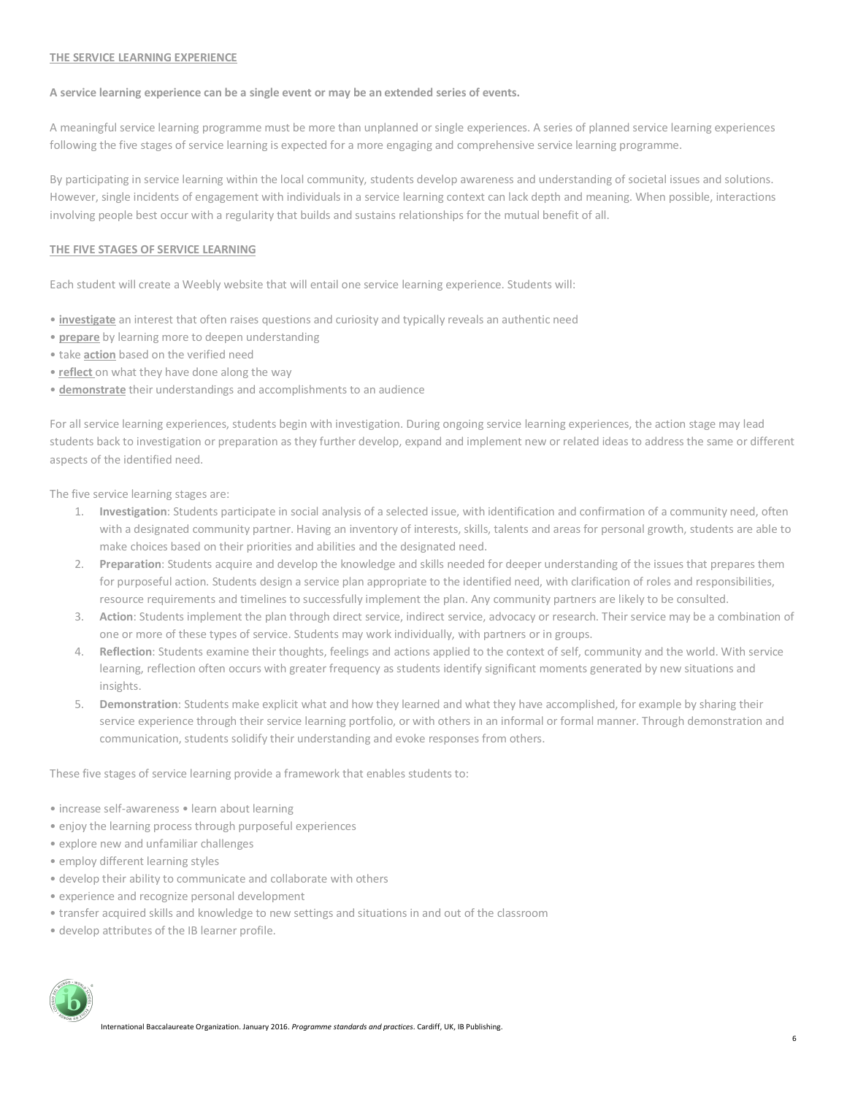#### **THE SERVICE LEARNING EXPERIENCE**

#### **A service learning experience can be a single event or may be an extended series of events.**

A meaningful service learning programme must be more than unplanned or single experiences. A series of planned service learning experiences following the five stages of service learning is expected for a more engaging and comprehensive service learning programme.

By participating in service learning within the local community, students develop awareness and understanding of societal issues and solutions. However, single incidents of engagement with individuals in a service learning context can lack depth and meaning. When possible, interactions involving people best occur with a regularity that builds and sustains relationships for the mutual benefit of all.

# **THE FIVE STAGES OF SERVICE LEARNING**

Each student will create a Weebly website that will entail one service learning experience. Students will:

- **investigate** an interest that often raises questions and curiosity and typically reveals an authentic need
- **prepare** by learning more to deepen understanding
- take **action** based on the verified need
- **reflect** on what they have done along the way
- **demonstrate** their understandings and accomplishments to an audience

For all service learning experiences, students begin with investigation. During ongoing service learning experiences, the action stage may lead students back to investigation or preparation as they further develop, expand and implement new or related ideas to address the same or different aspects of the identified need.

The five service learning stages are:

- 1. **Investigation**: Students participate in social analysis of a selected issue, with identification and confirmation of a community need, often with a designated community partner. Having an inventory of interests, skills, talents and areas for personal growth, students are able to make choices based on their priorities and abilities and the designated need.
- 2. **Preparation**: Students acquire and develop the knowledge and skills needed for deeper understanding of the issues that prepares them for purposeful action. Students design a service plan appropriate to the identified need, with clarification of roles and responsibilities, resource requirements and timelines to successfully implement the plan. Any community partners are likely to be consulted.
- 3. **Action**: Students implement the plan through direct service, indirect service, advocacy or research. Their service may be a combination of one or more of these types of service. Students may work individually, with partners or in groups.
- 4. **Reflection**: Students examine their thoughts, feelings and actions applied to the context of self, community and the world. With service learning, reflection often occurs with greater frequency as students identify significant moments generated by new situations and insights.
- 5. **Demonstration**: Students make explicit what and how they learned and what they have accomplished, for example by sharing their service experience through their service learning portfolio, or with others in an informal or formal manner. Through demonstration and communication, students solidify their understanding and evoke responses from others.

These five stages of service learning provide a framework that enables students to:

- increase self-awareness learn about learning
- enjoy the learning process through purposeful experiences
- explore new and unfamiliar challenges
- employ different learning styles
- develop their ability to communicate and collaborate with others
- experience and recognize personal development
- transfer acquired skills and knowledge to new settings and situations in and out of the classroom
- develop attributes of the IB learner profile.

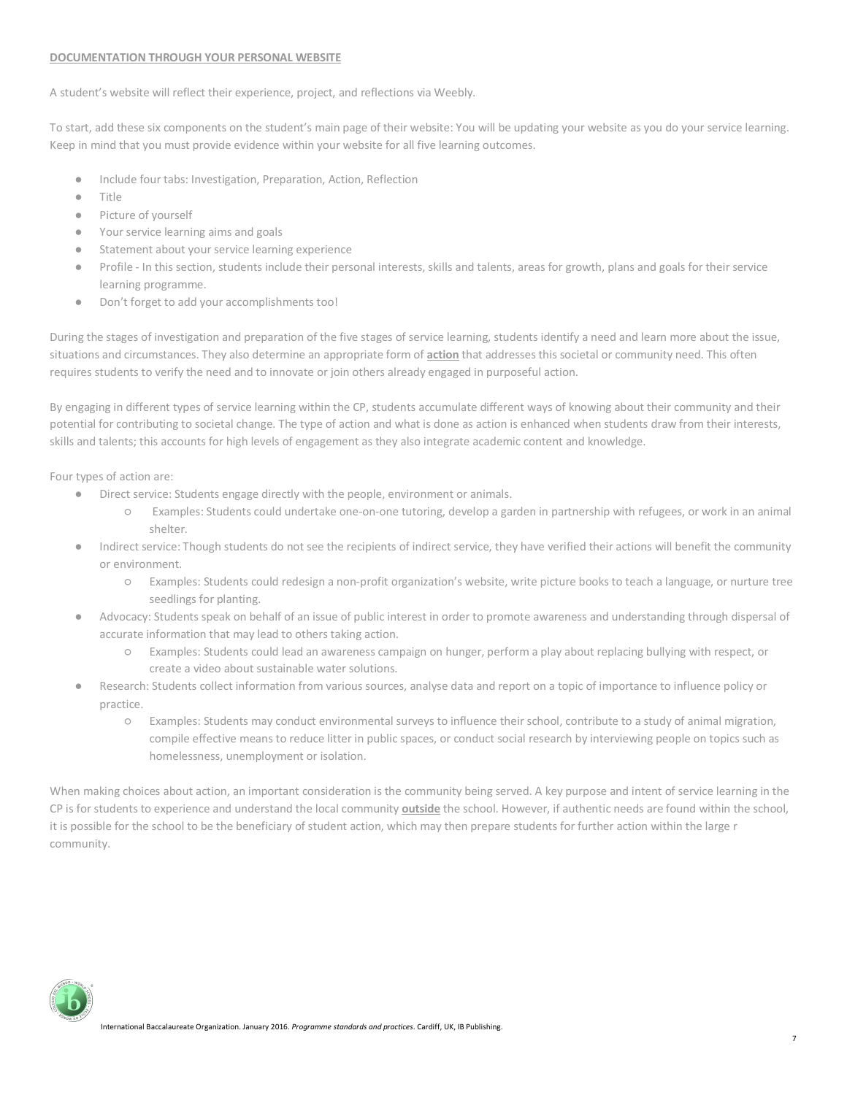## **DOCUMENTATION THROUGH YOUR PERSONAL WEBSITE**

A student's website will reflect their experience, project, and reflections via Weebly.

To start, add these six components on the student's main page of their website: You will be updating your website as you do your service learning. Keep in mind that you must provide evidence within your website for all five learning outcomes.

- Include four tabs: Investigation, Preparation, Action, Reflection
- **Title**
- Picture of yourself
- Your service learning aims and goals
- Statement about your service learning experience
- Profile In this section, students include their personal interests, skills and talents, areas for growth, plans and goals for their service learning programme.
- Don't forget to add your accomplishments too!

During the stages of investigation and preparation of the five stages of service learning, students identify a need and learn more about the issue, situations and circumstances. They also determine an appropriate form of **action** that addresses this societal or community need. This often requires students to verify the need and to innovate or join others already engaged in purposeful action.

By engaging in different types of service learning within the CP, students accumulate different ways of knowing about their community and their potential for contributing to societal change. The type of action and what is done as action is enhanced when students draw from their interests, skills and talents; this accounts for high levels of engagement as they also integrate academic content and knowledge.

Four types of action are:

- Direct service: Students engage directly with the people, environment or animals.
	- Examples: Students could undertake one-on-one tutoring, develop a garden in partnership with refugees, or work in an animal shelter.
- Indirect service: Though students do not see the recipients of indirect service, they have verified their actions will benefit the community or environment.
	- Examples: Students could redesign a non-profit organization's website, write picture books to teach a language, or nurture tree seedlings for planting.
- Advocacy: Students speak on behalf of an issue of public interest in order to promote awareness and understanding through dispersal of accurate information that may lead to others taking action.
	- Examples: Students could lead an awareness campaign on hunger, perform a play about replacing bullying with respect, or create a video about sustainable water solutions.
- Research: Students collect information from various sources, analyse data and report on a topic of importance to influence policy or practice.
	- Examples: Students may conduct environmental surveys to influence their school, contribute to a study of animal migration, compile effective means to reduce litter in public spaces, or conduct social research by interviewing people on topics such as homelessness, unemployment or isolation.

When making choices about action, an important consideration is the community being served. A key purpose and intent of service learning in the CP is for students to experience and understand the local community **outside** the school. However, if authentic needs are found within the school, it is possible for the school to be the beneficiary of student action, which may then prepare students for further action within the large r community.

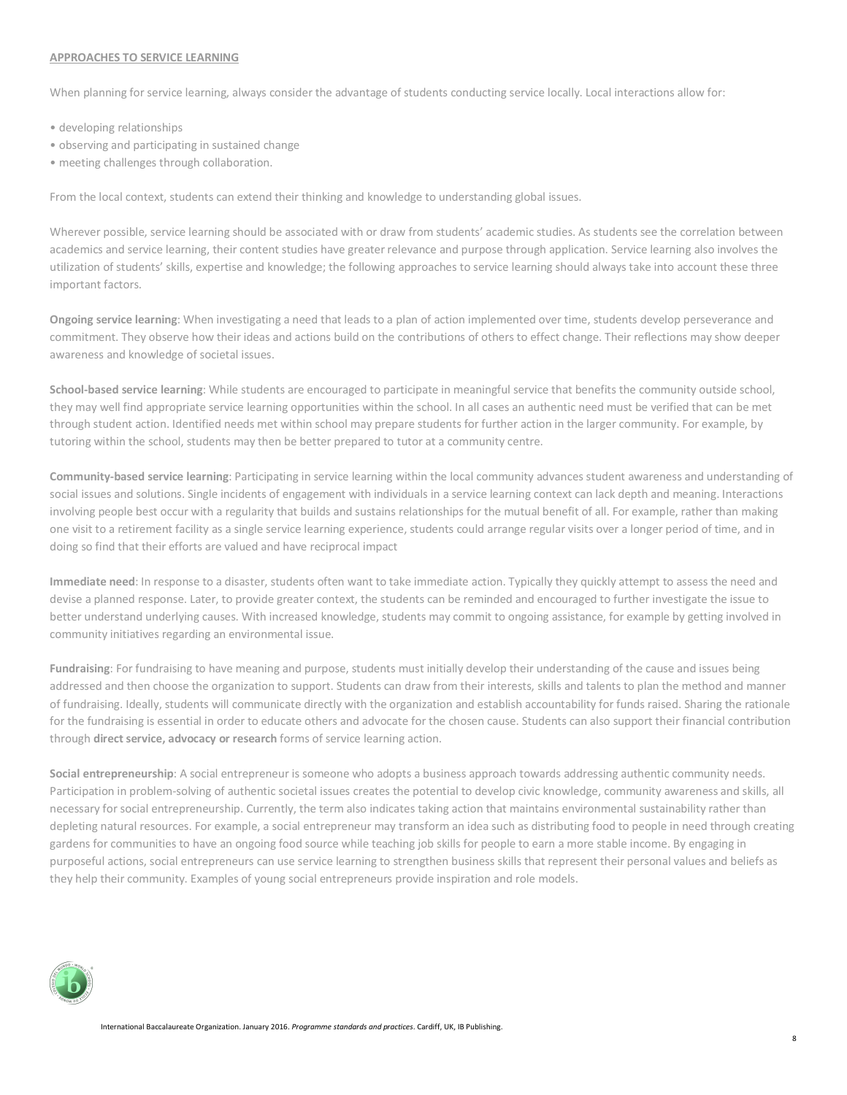#### **APPROACHES TO SERVICE LEARNING**

When planning for service learning, always consider the advantage of students conducting service locally. Local interactions allow for:

- developing relationships
- observing and participating in sustained change
- meeting challenges through collaboration.

From the local context, students can extend their thinking and knowledge to understanding global issues.

Wherever possible, service learning should be associated with or draw from students' academic studies. As students see the correlation between academics and service learning, their content studies have greater relevance and purpose through application. Service learning also involves the utilization of students' skills, expertise and knowledge; the following approaches to service learning should always take into account these three important factors.

**Ongoing service learning**: When investigating a need that leads to a plan of action implemented over time, students develop perseverance and commitment. They observe how their ideas and actions build on the contributions of others to effect change. Their reflections may show deeper awareness and knowledge of societal issues.

**School-based service learning**: While students are encouraged to participate in meaningful service that benefits the community outside school, they may well find appropriate service learning opportunities within the school. In all cases an authentic need must be verified that can be met through student action. Identified needs met within school may prepare students for further action in the larger community. For example, by tutoring within the school, students may then be better prepared to tutor at a community centre.

**Community-based service learning**: Participating in service learning within the local community advances student awareness and understanding of social issues and solutions. Single incidents of engagement with individuals in a service learning context can lack depth and meaning. Interactions involving people best occur with a regularity that builds and sustains relationships for the mutual benefit of all. For example, rather than making one visit to a retirement facility as a single service learning experience, students could arrange regular visits over a longer period of time, and in doing so find that their efforts are valued and have reciprocal impact

**Immediate need**: In response to a disaster, students often want to take immediate action. Typically they quickly attempt to assess the need and devise a planned response. Later, to provide greater context, the students can be reminded and encouraged to further investigate the issue to better understand underlying causes. With increased knowledge, students may commit to ongoing assistance, for example by getting involved in community initiatives regarding an environmental issue.

**Fundraising**: For fundraising to have meaning and purpose, students must initially develop their understanding of the cause and issues being addressed and then choose the organization to support. Students can draw from their interests, skills and talents to plan the method and manner of fundraising. Ideally, students will communicate directly with the organization and establish accountability for funds raised. Sharing the rationale for the fundraising is essential in order to educate others and advocate for the chosen cause. Students can also support their financial contribution through **direct service, advocacy or research** forms of service learning action.

**Social entrepreneurship**: A social entrepreneur is someone who adopts a business approach towards addressing authentic community needs. Participation in problem-solving of authentic societal issues creates the potential to develop civic knowledge, community awareness and skills, all necessary for social entrepreneurship. Currently, the term also indicates taking action that maintains environmental sustainability rather than depleting natural resources. For example, a social entrepreneur may transform an idea such as distributing food to people in need through creating gardens for communities to have an ongoing food source while teaching job skills for people to earn a more stable income. By engaging in purposeful actions, social entrepreneurs can use service learning to strengthen business skills that represent their personal values and beliefs as they help their community. Examples of young social entrepreneurs provide inspiration and role models.

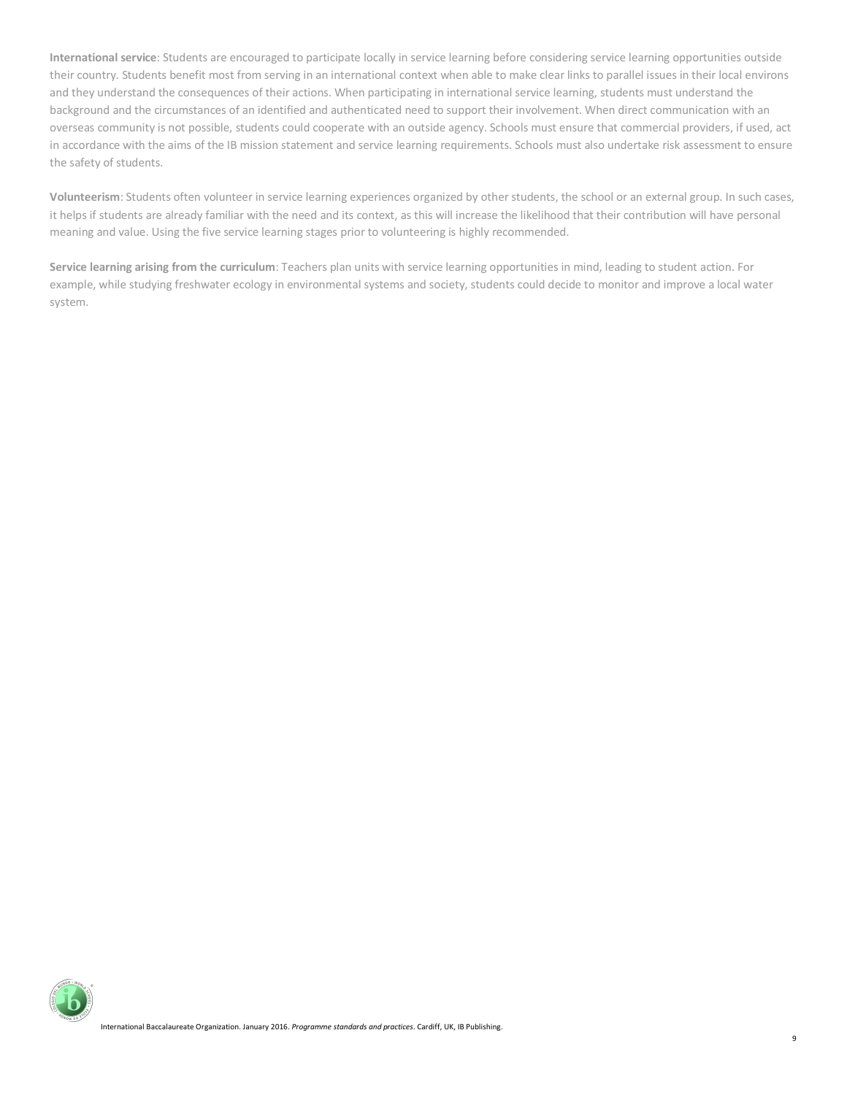**International service**: Students are encouraged to participate locally in service learning before considering service learning opportunities outside their country. Students benefit most from serving in an international context when able to make clear links to parallel issues in their local environs and they understand the consequences of their actions. When participating in international service learning, students must understand the background and the circumstances of an identified and authenticated need to support their involvement. When direct communication with an overseas community is not possible, students could cooperate with an outside agency. Schools must ensure that commercial providers, if used, act in accordance with the aims of the IB mission statement and service learning requirements. Schools must also undertake risk assessment to ensure the safety of students.

**Volunteerism**: Students often volunteer in service learning experiences organized by other students, the school or an external group. In such cases, it helps if students are already familiar with the need and its context, as this will increase the likelihood that their contribution will have personal meaning and value. Using the five service learning stages prior to volunteering is highly recommended.

**Service learning arising from the curriculum**: Teachers plan units with service learning opportunities in mind, leading to student action. For example, while studying freshwater ecology in environmental systems and society, students could decide to monitor and improve a local water system.

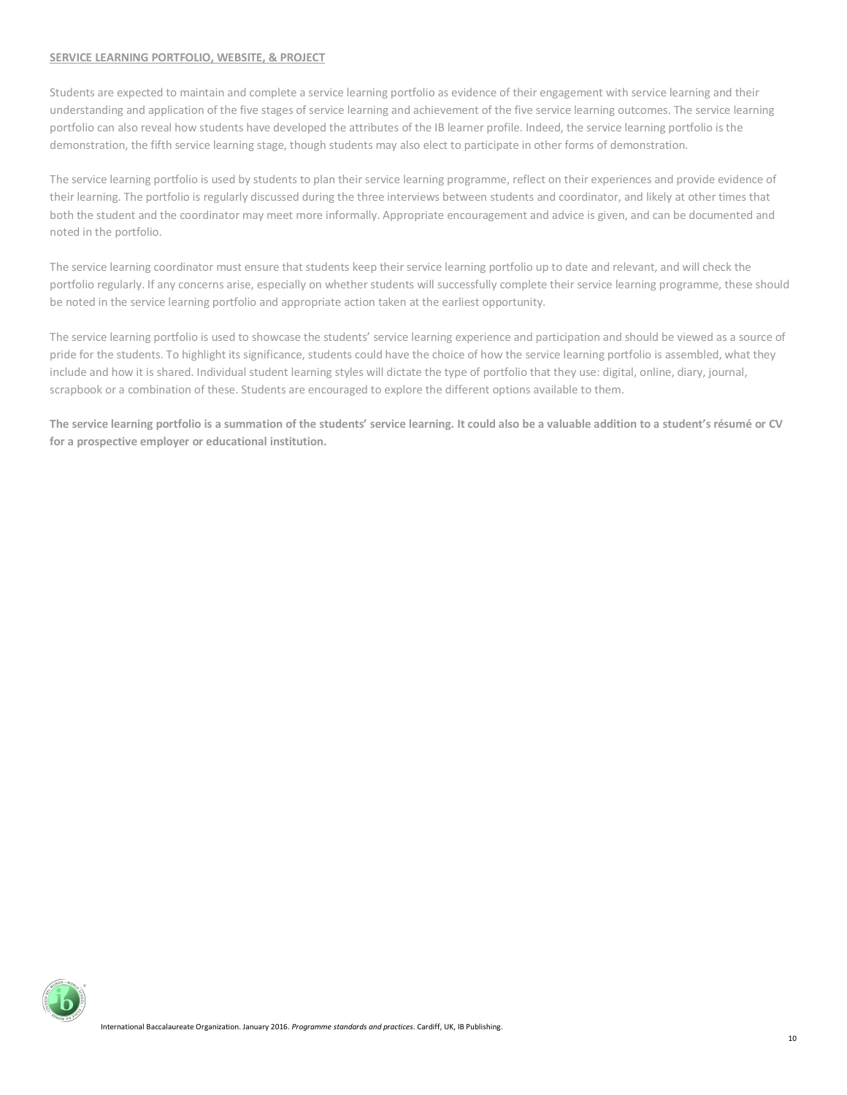#### **SERVICE LEARNING PORTFOLIO, WEBSITE, & PROJECT**

Students are expected to maintain and complete a service learning portfolio as evidence of their engagement with service learning and their understanding and application of the five stages of service learning and achievement of the five service learning outcomes. The service learning portfolio can also reveal how students have developed the attributes of the IB learner profile. Indeed, the service learning portfolio is the demonstration, the fifth service learning stage, though students may also elect to participate in other forms of demonstration.

The service learning portfolio is used by students to plan their service learning programme, reflect on their experiences and provide evidence of their learning. The portfolio is regularly discussed during the three interviews between students and coordinator, and likely at other times that both the student and the coordinator may meet more informally. Appropriate encouragement and advice is given, and can be documented and noted in the portfolio.

The service learning coordinator must ensure that students keep their service learning portfolio up to date and relevant, and will check the portfolio regularly. If any concerns arise, especially on whether students will successfully complete their service learning programme, these should be noted in the service learning portfolio and appropriate action taken at the earliest opportunity.

The service learning portfolio is used to showcase the students' service learning experience and participation and should be viewed as a source of pride for the students. To highlight its significance, students could have the choice of how the service learning portfolio is assembled, what they include and how it is shared. Individual student learning styles will dictate the type of portfolio that they use: digital, online, diary, journal, scrapbook or a combination of these. Students are encouraged to explore the different options available to them.

**The service learning portfolio is a summation of the students' service learning. It could also be a valuable addition to a student's résumé or CV for a prospective employer or educational institution.**

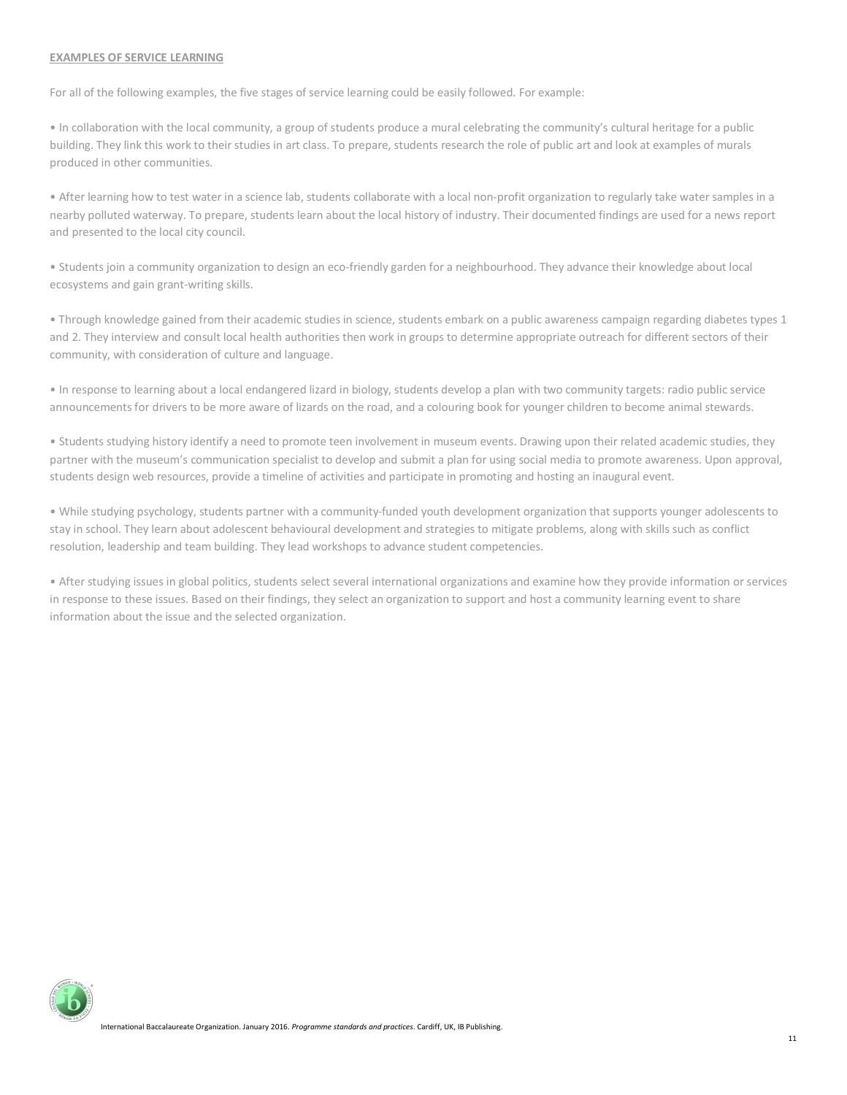#### **EXAMPLES OF SERVICE LEARNING**

For all of the following examples, the five stages of service learning could be easily followed. For example:

• In collaboration with the local community, a group of students produce a mural celebrating the community's cultural heritage for a public building. They link this work to their studies in art class. To prepare, students research the role of public art and look at examples of murals produced in other communities.

• After learning how to test water in a science lab, students collaborate with a local non-profit organization to regularly take water samples in a nearby polluted waterway. To prepare, students learn about the local history of industry. Their documented findings are used for a news report and presented to the local city council.

• Students join a community organization to design an eco-friendly garden for a neighbourhood. They advance their knowledge about local ecosystems and gain grant-writing skills.

• Through knowledge gained from their academic studies in science, students embark on a public awareness campaign regarding diabetes types 1 and 2. They interview and consult local health authorities then work in groups to determine appropriate outreach for different sectors of their community, with consideration of culture and language.

• In response to learning about a local endangered lizard in biology, students develop a plan with two community targets: radio public service announcements for drivers to be more aware of lizards on the road, and a colouring book for younger children to become animal stewards.

• Students studying history identify a need to promote teen involvement in museum events. Drawing upon their related academic studies, they partner with the museum's communication specialist to develop and submit a plan for using social media to promote awareness. Upon approval, students design web resources, provide a timeline of activities and participate in promoting and hosting an inaugural event.

• While studying psychology, students partner with a community-funded youth development organization that supports younger adolescents to stay in school. They learn about adolescent behavioural development and strategies to mitigate problems, along with skills such as conflict resolution, leadership and team building. They lead workshops to advance student competencies.

• After studying issues in global politics, students select several international organizations and examine how they provide information or services in response to these issues. Based on their findings, they select an organization to support and host a community learning event to share information about the issue and the selected organization.